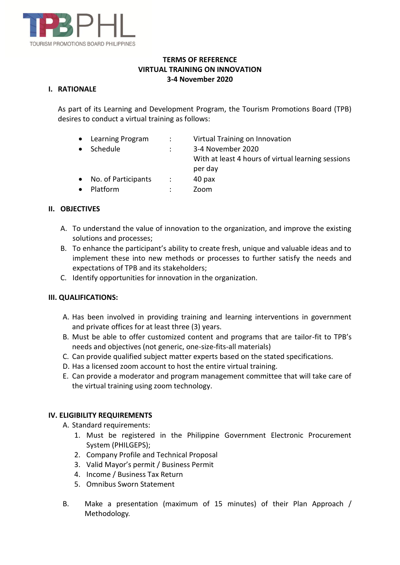

## **TERMS OF REFERENCE VIRTUAL TRAINING ON INNOVATION 3-4 November 2020**

#### **I. RATIONALE**

As part of its Learning and Development Program, the Tourism Promotions Board (TPB) desires to conduct a virtual training as follows:

- Learning Program : Virtual Training on Innovation
- Schedule : 3-4 November 2020

With at least 4 hours of virtual learning sessions per day

- No. of Participants : 40 pax
- Platform : Zoom

## **II. OBJECTIVES**

- A. To understand the value of innovation to the organization, and improve the existing solutions and processes;
- B. To enhance the participant's ability to create fresh, unique and valuable ideas and to implement these into new methods or processes to further satisfy the needs and expectations of TPB and its stakeholders;
- C. Identify opportunities for innovation in the organization.

#### **III. QUALIFICATIONS:**

- A. Has been involved in providing training and learning interventions in government and private offices for at least three (3) years.
- B. Must be able to offer customized content and programs that are tailor-fit to TPB's needs and objectives (not generic, one-size-fits-all materials)
- C. Can provide qualified subject matter experts based on the stated specifications.
- D. Has a licensed zoom account to host the entire virtual training.
- E. Can provide a moderator and program management committee that will take care of the virtual training using zoom technology.

#### **IV. ELIGIBILITY REQUIREMENTS**

A. Standard requirements:

- 1. Must be registered in the Philippine Government Electronic Procurement System (PHILGEPS);
- 2. Company Profile and Technical Proposal
- 3. Valid Mayor's permit / Business Permit
- 4. Income / Business Tax Return
- 5. Omnibus Sworn Statement
- B. Make a presentation (maximum of 15 minutes) of their Plan Approach / Methodology.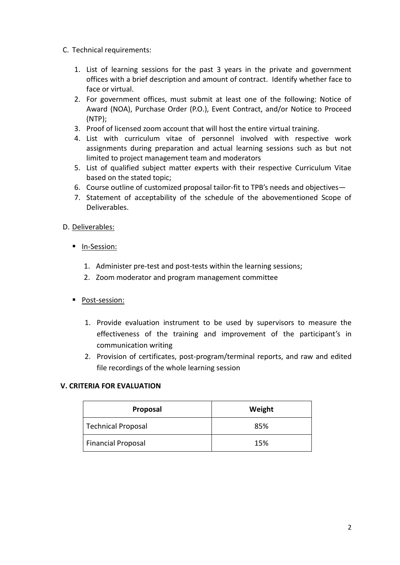- C. Technical requirements:
	- 1. List of learning sessions for the past 3 years in the private and government offices with a brief description and amount of contract. Identify whether face to face or virtual.
	- 2. For government offices, must submit at least one of the following: Notice of Award (NOA), Purchase Order (P.O.), Event Contract, and/or Notice to Proceed (NTP);
	- 3. Proof of licensed zoom account that will host the entire virtual training.
	- 4. List with curriculum vitae of personnel involved with respective work assignments during preparation and actual learning sessions such as but not limited to project management team and moderators
	- 5. List of qualified subject matter experts with their respective Curriculum Vitae based on the stated topic;
	- 6. Course outline of customized proposal tailor-fit to TPB's needs and objectives—
	- 7. Statement of acceptability of the schedule of the abovementioned Scope of Deliverables.
- D. Deliverables:
	- **In-Session:** 
		- 1. Administer pre-test and post-tests within the learning sessions;
		- 2. Zoom moderator and program management committee
	- **Post-session:** 
		- 1. Provide evaluation instrument to be used by supervisors to measure the effectiveness of the training and improvement of the participant's in communication writing
		- 2. Provision of certificates, post-program/terminal reports, and raw and edited file recordings of the whole learning session

#### **V. CRITERIA FOR EVALUATION**

| Proposal                  | Weight |
|---------------------------|--------|
| Technical Proposal        | 85%    |
| <b>Financial Proposal</b> | 15%    |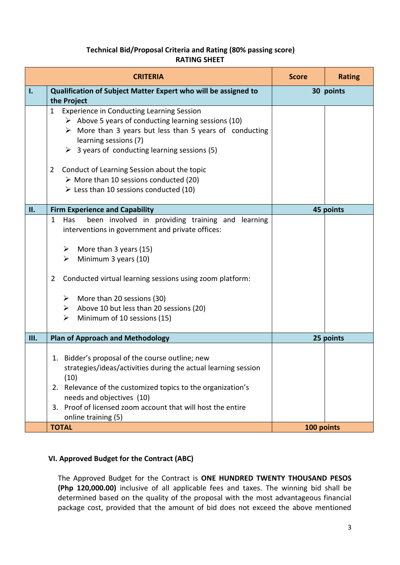# **Technical Bid/Proposal Criteria and Rating (80% passing score) RATING SHEET**

| <b>CRITERIA</b> |                                                                                                                                                                                                                                                                                                                                                                                                                                                                                    | <b>Score</b> | <b>Rating</b> |
|-----------------|------------------------------------------------------------------------------------------------------------------------------------------------------------------------------------------------------------------------------------------------------------------------------------------------------------------------------------------------------------------------------------------------------------------------------------------------------------------------------------|--------------|---------------|
| Ι.              | Qualification of Subject Matter Expert who will be assigned to<br>the Project                                                                                                                                                                                                                                                                                                                                                                                                      | 30 points    |               |
|                 | <b>Experience in Conducting Learning Session</b><br>1<br>$\triangleright$ Above 5 years of conducting learning sessions (10)<br>$\triangleright$ More than 3 years but less than 5 years of conducting<br>learning sessions (7)<br>$\triangleright$ 3 years of conducting learning sessions (5)<br>Conduct of Learning Session about the topic<br>$\overline{2}$<br>$\triangleright$ More than 10 sessions conducted (20)<br>$\triangleright$ Less than 10 sessions conducted (10) |              |               |
| Π.              | <b>Firm Experience and Capability</b>                                                                                                                                                                                                                                                                                                                                                                                                                                              |              | 45 points     |
|                 | been involved in providing training and<br>Has<br>learning<br>$\mathbf{1}$<br>interventions in government and private offices:<br>More than 3 years (15)<br>➤<br>Minimum 3 years (10)<br>➤<br>Conducted virtual learning sessions using zoom platform:<br>$\overline{2}$<br>$\triangleright$ More than 20 sessions (30)<br>Above 10 but less than 20 sessions (20)<br>➤<br>Minimum of 10 sessions (15)<br>≻                                                                        |              |               |
| Ш.              | <b>Plan of Approach and Methodology</b>                                                                                                                                                                                                                                                                                                                                                                                                                                            |              | 25 points     |
|                 | 1. Bidder's proposal of the course outline; new<br>strategies/ideas/activities during the actual learning session<br>(10)<br>2. Relevance of the customized topics to the organization's<br>needs and objectives (10)<br>3. Proof of licensed zoom account that will host the entire<br>online training (5)                                                                                                                                                                        |              |               |
|                 | 100 points<br><b>TOTAL</b>                                                                                                                                                                                                                                                                                                                                                                                                                                                         |              |               |

# **VI. Approved Budget for the Contract (ABC)**

The Approved Budget for the Contract is **ONE HUNDRED TWENTY THOUSAND PESOS (Php 120,000.00)** inclusive of all applicable fees and taxes. The winning bid shall be determined based on the quality of the proposal with the most advantageous financial package cost, provided that the amount of bid does not exceed the above mentioned